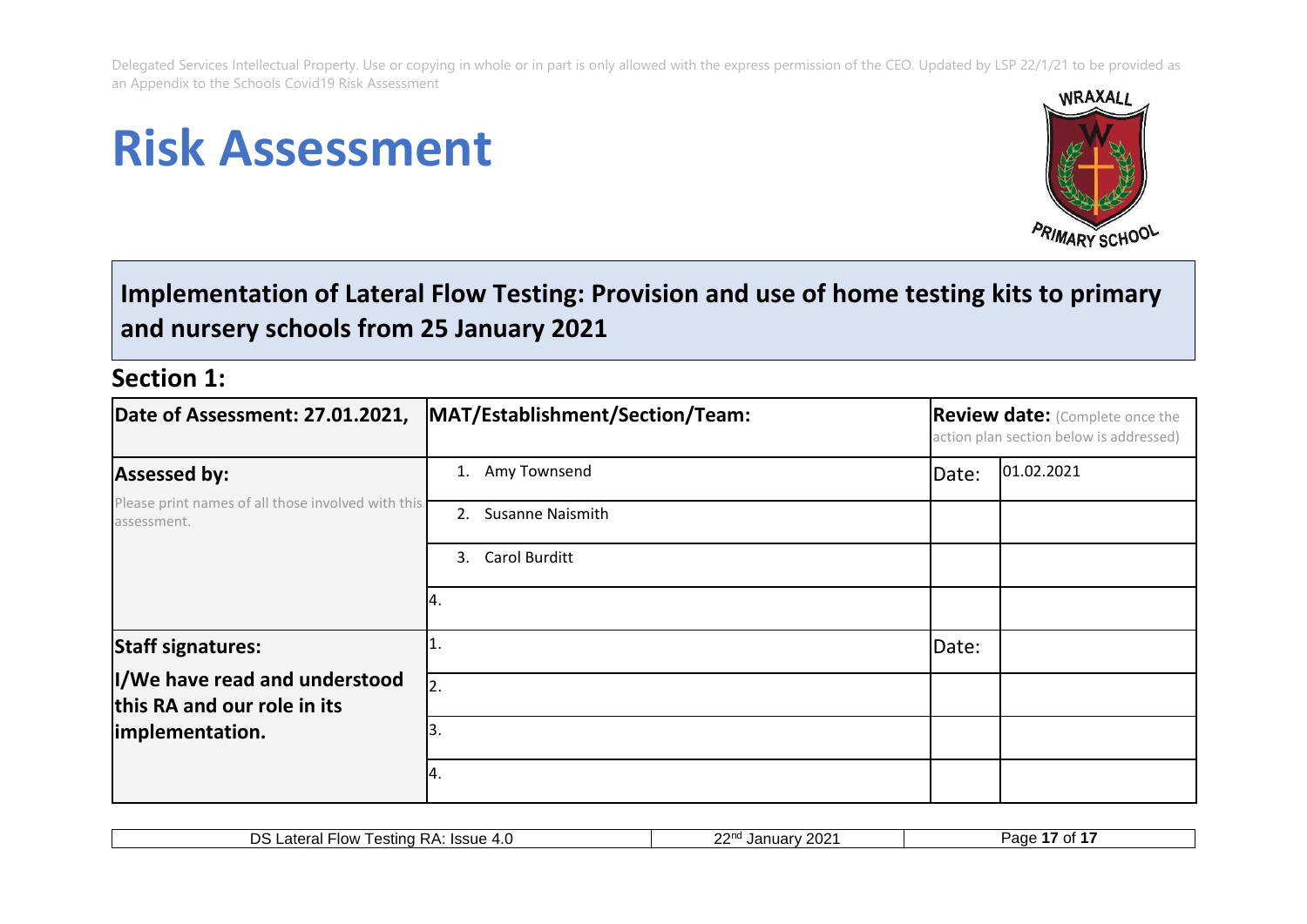# **Risk Assessment**



# **Implementation of Lateral Flow Testing: Provision and use of home testing kits to primary and nursery schools from 25 January 2021**

## **Section 1:**

| Date of Assessment: 27.01.2021,                                   | MAT/Establishment/Section/Team: |       | <b>Review date:</b> (Complete once the<br>action plan section below is addressed) |  |  |
|-------------------------------------------------------------------|---------------------------------|-------|-----------------------------------------------------------------------------------|--|--|
| <b>Assessed by:</b>                                               | Amy Townsend<br>1.              | Date: | 01.02.2021                                                                        |  |  |
| Please print names of all those involved with this<br>assessment. | Susanne Naismith<br>2.          |       |                                                                                   |  |  |
|                                                                   | Carol Burditt<br>3.             |       |                                                                                   |  |  |
|                                                                   | 14.                             |       |                                                                                   |  |  |
| <b>Staff signatures:</b>                                          |                                 | Date: |                                                                                   |  |  |
| I/We have read and understood<br>this RA and our role in its      | 2.                              |       |                                                                                   |  |  |
| implementation.                                                   | 13.                             |       |                                                                                   |  |  |
|                                                                   | Ι4.                             |       |                                                                                   |  |  |

| ດດາ<br>DS<br>Testing RA:<br>-atera<br>⊩Flow<br>Ieci <sub>1</sub><br>Januarv<br>$\boldsymbol{A}$ '<br>.oout<br>−.⊾<br>--- | .<br>$202^{\circ}$<br>1200<br>--<br>auc<br> |
|--------------------------------------------------------------------------------------------------------------------------|---------------------------------------------|
|--------------------------------------------------------------------------------------------------------------------------|---------------------------------------------|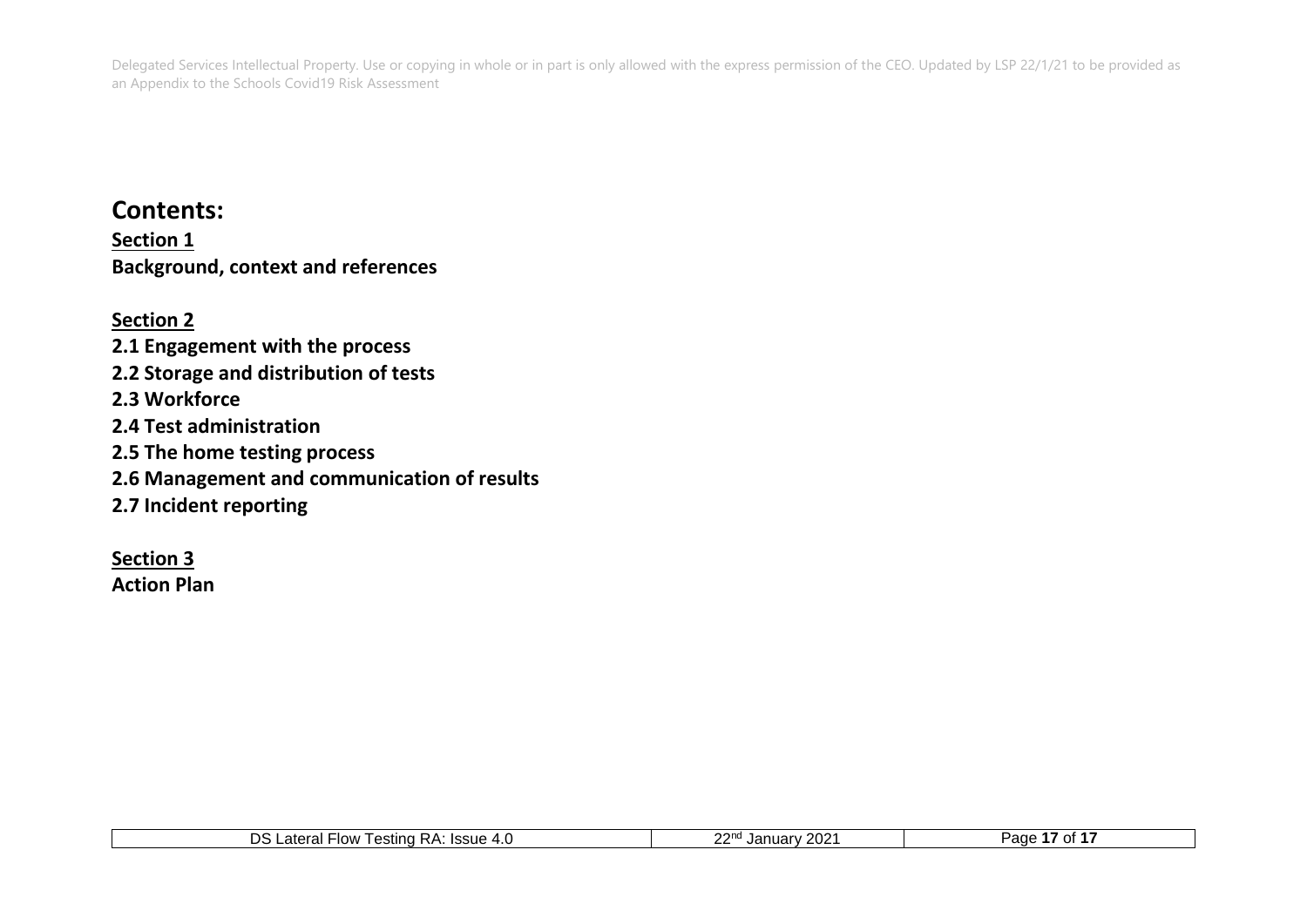## **Contents:**

**Section 1 Background, context and references**

**Section 2 2.1 Engagement with the process 2.2 Storage and distribution of tests 2.3 Workforce 2.4 Test administration 2.5 The home testing process 2.6 Management and communication of results 2.7 Incident reporting**

**Section 3**

**Action Plan**

| <b>000</b><br>2021<br>סר<br><b>Issue</b><br>atara<br>∙low<br>±esting<br>$\sim$<br>Paα<br>КA<br>$\Lambda$ $\mu$<br>$\sim$<br>J di<br>$\overline{\phantom{a}}$<br>.<br>.<br>. U<br>___ |  |
|--------------------------------------------------------------------------------------------------------------------------------------------------------------------------------------|--|
|--------------------------------------------------------------------------------------------------------------------------------------------------------------------------------------|--|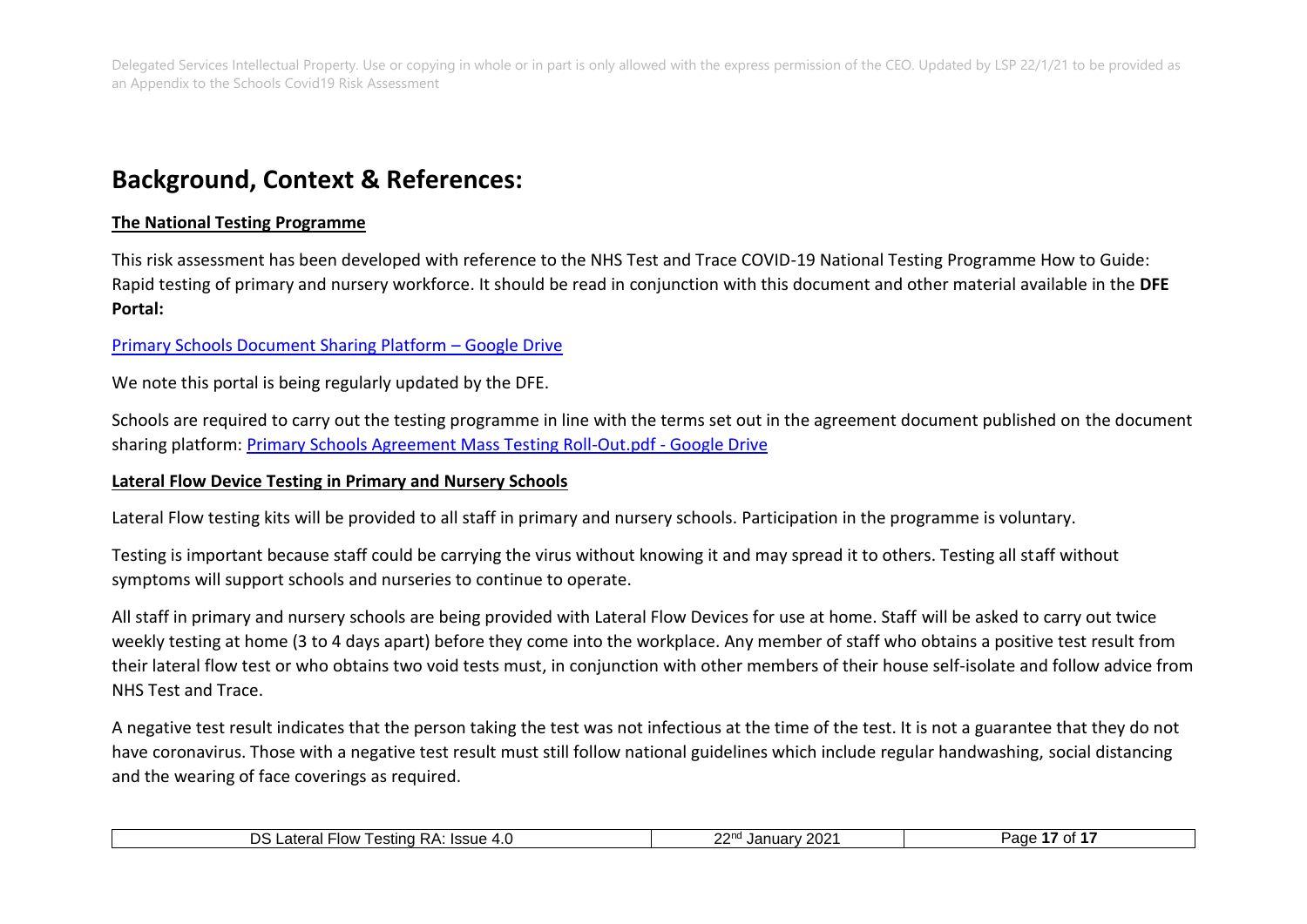## **Background, Context & References:**

#### **The National Testing Programme**

This risk assessment has been developed with reference to the NHS Test and Trace COVID-19 National Testing Programme How to Guide: Rapid testing of primary and nursery workforce. It should be read in conjunction with this document and other material available in the **DFE Portal:**

#### [Primary Schools Document Sharing Platform](https://drive.google.com/drive/folders/1X4fLxy6_ppmpmKrv3hT2M6cduAN_GS54) – Google Drive

We note this portal is being regularly updated by the DFE.

Schools are required to carry out the testing programme in line with the terms set out in the agreement document published on the document sharing platform: [Primary Schools Agreement Mass Testing Roll-Out.pdf -](https://drive.google.com/file/d/1_5h3gVW6d7CFUMljGafGovmiIjEDfQSi/view) Google Drive

#### **Lateral Flow Device Testing in Primary and Nursery Schools**

Lateral Flow testing kits will be provided to all staff in primary and nursery schools. Participation in the programme is voluntary.

Testing is important because staff could be carrying the virus without knowing it and may spread it to others. Testing all staff without symptoms will support schools and nurseries to continue to operate.

All staff in primary and nursery schools are being provided with Lateral Flow Devices for use at home. Staff will be asked to carry out twice weekly testing at home (3 to 4 days apart) before they come into the workplace. Any member of staff who obtains a positive test result from their lateral flow test or who obtains two void tests must, in conjunction with other members of their house self-isolate and follow advice from NHS Test and Trace.

A negative test result indicates that the person taking the test was not infectious at the time of the test. It is not a guarantee that they do not have coronavirus. Those with a negative test result must still follow national guidelines which include regular handwashing, social distancing and the wearing of face coverings as required.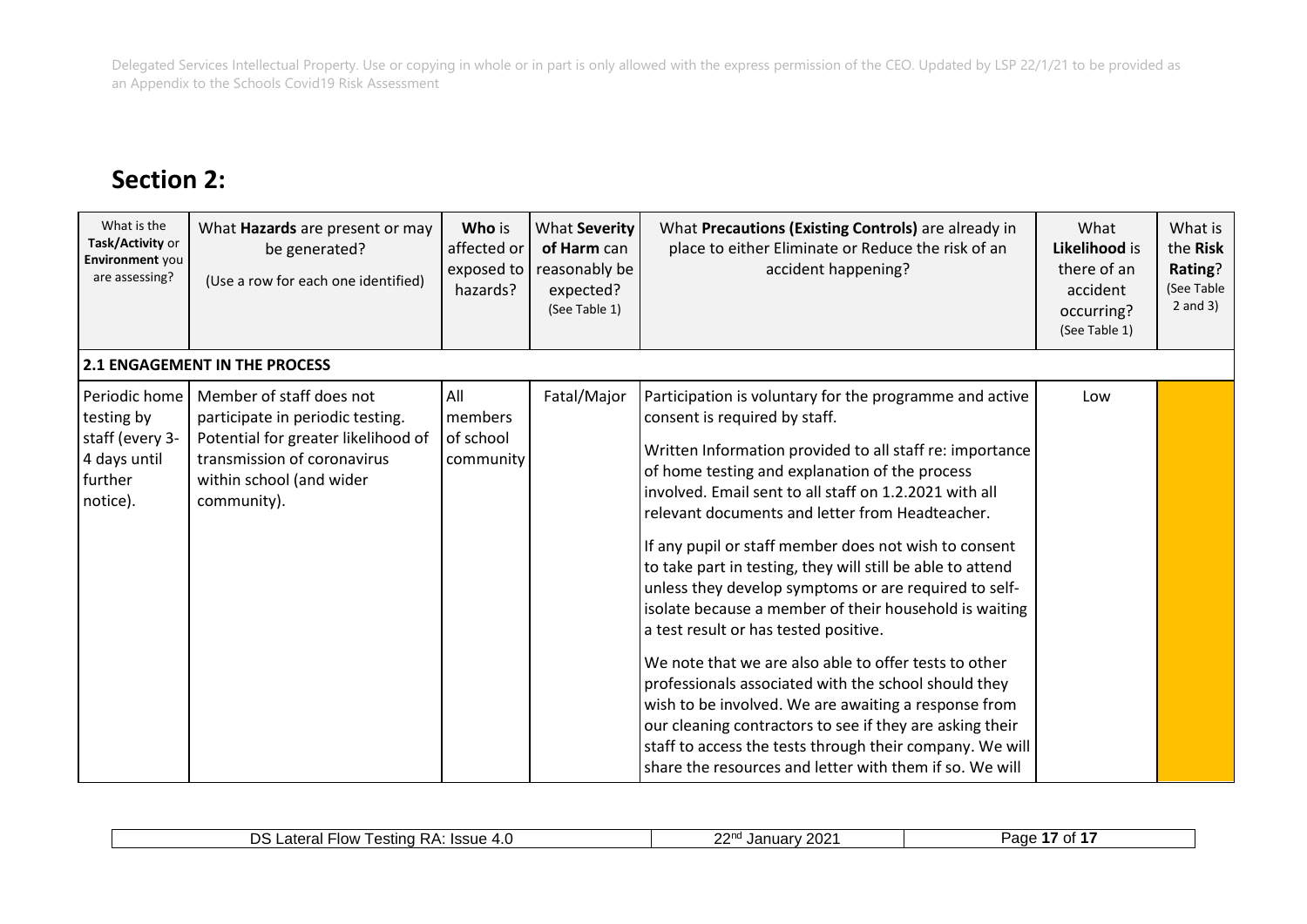# **Section 2:**

| What is the<br>Task/Activity or<br>Environment you<br>are assessing?                  | What Hazards are present or may<br>be generated?<br>(Use a row for each one identified)                                                                                       | Who is<br>affected or<br>exposed to<br>hazards?         | What Severity<br>of Harm can<br>reasonably be<br>expected?<br>(See Table 1) | What Precautions (Existing Controls) are already in<br>place to either Eliminate or Reduce the risk of an<br>accident happening?                                                                                                                                                                                                                                                                                                                                                                                                                                                                                                                                                                                                                                                                                                                                                                                                                                   | What<br>Likelihood is<br>there of an<br>accident<br>occurring?<br>(See Table 1) | What is<br>the Risk<br>Rating?<br>(See Table<br>$2$ and $3)$ |
|---------------------------------------------------------------------------------------|-------------------------------------------------------------------------------------------------------------------------------------------------------------------------------|---------------------------------------------------------|-----------------------------------------------------------------------------|--------------------------------------------------------------------------------------------------------------------------------------------------------------------------------------------------------------------------------------------------------------------------------------------------------------------------------------------------------------------------------------------------------------------------------------------------------------------------------------------------------------------------------------------------------------------------------------------------------------------------------------------------------------------------------------------------------------------------------------------------------------------------------------------------------------------------------------------------------------------------------------------------------------------------------------------------------------------|---------------------------------------------------------------------------------|--------------------------------------------------------------|
|                                                                                       | <b>2.1 ENGAGEMENT IN THE PROCESS</b>                                                                                                                                          |                                                         |                                                                             |                                                                                                                                                                                                                                                                                                                                                                                                                                                                                                                                                                                                                                                                                                                                                                                                                                                                                                                                                                    |                                                                                 |                                                              |
| Periodic home<br>testing by<br>staff (every 3-<br>4 days until<br>further<br>notice). | Member of staff does not<br>participate in periodic testing.<br>Potential for greater likelihood of<br>transmission of coronavirus<br>within school (and wider<br>community). | $\overline{All}$<br>l members<br>of school<br>community | Fatal/Major                                                                 | Participation is voluntary for the programme and active<br>consent is required by staff.<br>Written Information provided to all staff re: importance<br>of home testing and explanation of the process<br>involved. Email sent to all staff on 1.2.2021 with all<br>relevant documents and letter from Headteacher.<br>If any pupil or staff member does not wish to consent<br>to take part in testing, they will still be able to attend<br>unless they develop symptoms or are required to self-<br>isolate because a member of their household is waiting<br>a test result or has tested positive.<br>We note that we are also able to offer tests to other<br>professionals associated with the school should they<br>wish to be involved. We are awaiting a response from<br>our cleaning contractors to see if they are asking their<br>staff to access the tests through their company. We will<br>share the resources and letter with them if so. We will | Low                                                                             |                                                              |

| າ∩າ∗<br>nn,<br>ּי<br>-low<br>$I$ of ting<br>Issue<br>Οt<br>.<br>⊇age<br>◡<br>טוועי<br>$\overline{\phantom{a}}$<br>$\sim$<br>≤∪∠<br>. I<br>551<br>. J C<br>,,<br>$\mathbf{N}$<br>,,,,<br>.<br>᠇.∪<br>-- |  |  |
|--------------------------------------------------------------------------------------------------------------------------------------------------------------------------------------------------------|--|--|
|                                                                                                                                                                                                        |  |  |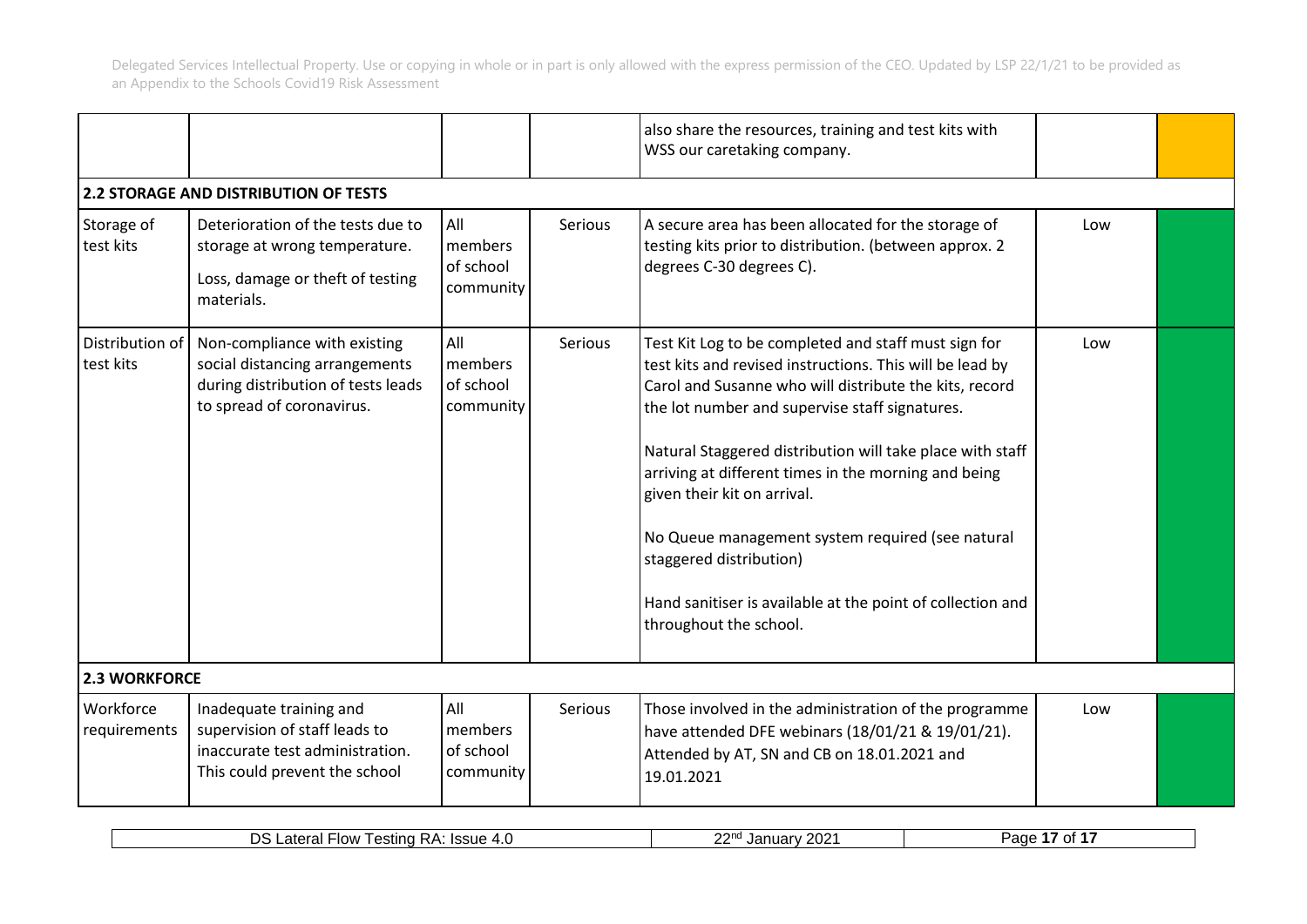|                              |                                                                                                                                   |                                          |         | also share the resources, training and test kits with<br>WSS our caretaking company.                                                                                                                                                                                                                                                                                                                                                                                                                                                                    |     |  |
|------------------------------|-----------------------------------------------------------------------------------------------------------------------------------|------------------------------------------|---------|---------------------------------------------------------------------------------------------------------------------------------------------------------------------------------------------------------------------------------------------------------------------------------------------------------------------------------------------------------------------------------------------------------------------------------------------------------------------------------------------------------------------------------------------------------|-----|--|
|                              | <b>2.2 STORAGE AND DISTRIBUTION OF TESTS</b>                                                                                      |                                          |         |                                                                                                                                                                                                                                                                                                                                                                                                                                                                                                                                                         |     |  |
| Storage of<br>test kits      | Deterioration of the tests due to<br>storage at wrong temperature.<br>Loss, damage or theft of testing<br>materials.              | All<br>members<br>of school<br>community | Serious | A secure area has been allocated for the storage of<br>testing kits prior to distribution. (between approx. 2<br>degrees C-30 degrees C).                                                                                                                                                                                                                                                                                                                                                                                                               | Low |  |
| Distribution of<br>test kits | Non-compliance with existing<br>social distancing arrangements<br>during distribution of tests leads<br>to spread of coronavirus. | All<br>members<br>of school<br>community | Serious | Test Kit Log to be completed and staff must sign for<br>test kits and revised instructions. This will be lead by<br>Carol and Susanne who will distribute the kits, record<br>the lot number and supervise staff signatures.<br>Natural Staggered distribution will take place with staff<br>arriving at different times in the morning and being<br>given their kit on arrival.<br>No Queue management system required (see natural<br>staggered distribution)<br>Hand sanitiser is available at the point of collection and<br>throughout the school. | Low |  |
| <b>2.3 WORKFORCE</b>         |                                                                                                                                   |                                          |         |                                                                                                                                                                                                                                                                                                                                                                                                                                                                                                                                                         |     |  |
| Workforce<br>requirements    | Inadequate training and<br>supervision of staff leads to<br>inaccurate test administration.<br>This could prevent the school      | All<br>members<br>of school<br>community | Serious | Those involved in the administration of the programme<br>have attended DFE webinars (18/01/21 & 19/01/21).<br>Attended by AT, SN and CB on 18.01.2021 and<br>19.01.2021                                                                                                                                                                                                                                                                                                                                                                                 | Low |  |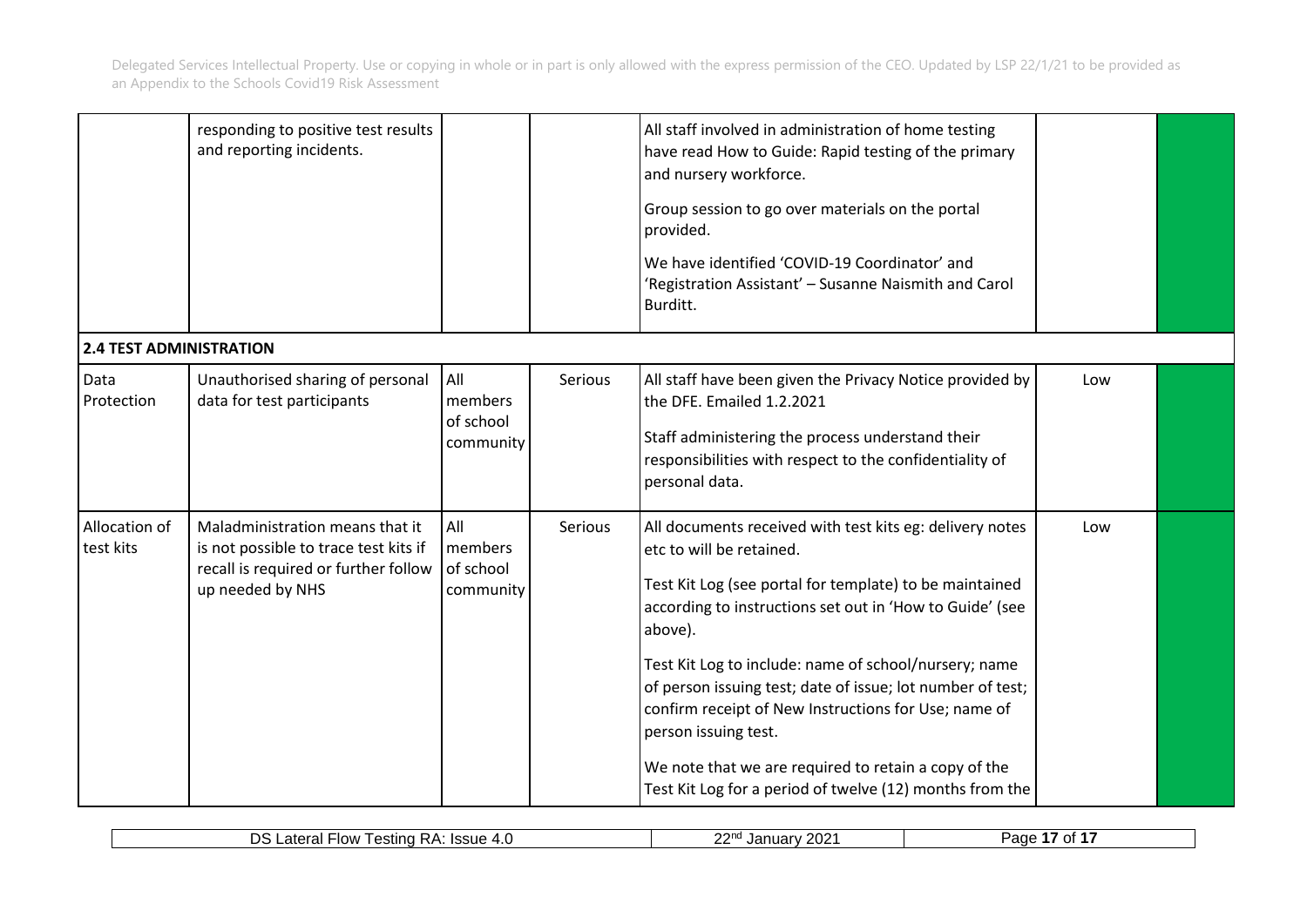|                                | responding to positive test results<br>and reporting incidents.                                                                      |                                          |         | All staff involved in administration of home testing<br>have read How to Guide: Rapid testing of the primary<br>and nursery workforce.<br>Group session to go over materials on the portal<br>provided.<br>We have identified 'COVID-19 Coordinator' and<br>'Registration Assistant' - Susanne Naismith and Carol<br>Burditt.                                                                                                                                                                                                                     |     |  |
|--------------------------------|--------------------------------------------------------------------------------------------------------------------------------------|------------------------------------------|---------|---------------------------------------------------------------------------------------------------------------------------------------------------------------------------------------------------------------------------------------------------------------------------------------------------------------------------------------------------------------------------------------------------------------------------------------------------------------------------------------------------------------------------------------------------|-----|--|
| <b>2.4 TEST ADMINISTRATION</b> |                                                                                                                                      |                                          |         |                                                                                                                                                                                                                                                                                                                                                                                                                                                                                                                                                   |     |  |
| Data<br>Protection             | Unauthorised sharing of personal<br>data for test participants                                                                       | All<br>members<br>of school<br>community | Serious | All staff have been given the Privacy Notice provided by<br>the DFE. Emailed 1.2.2021<br>Staff administering the process understand their<br>responsibilities with respect to the confidentiality of<br>personal data.                                                                                                                                                                                                                                                                                                                            | Low |  |
| Allocation of<br>test kits     | Maladministration means that it<br>is not possible to trace test kits if<br>recall is required or further follow<br>up needed by NHS | All<br>members<br>of school<br>community | Serious | All documents received with test kits eg: delivery notes<br>etc to will be retained.<br>Test Kit Log (see portal for template) to be maintained<br>according to instructions set out in 'How to Guide' (see<br>above).<br>Test Kit Log to include: name of school/nursery; name<br>of person issuing test; date of issue; lot number of test;<br>confirm receipt of New Instructions for Use; name of<br>person issuing test.<br>We note that we are required to retain a copy of the<br>Test Kit Log for a period of twelve (12) months from the | Low |  |

| $\sim$<br>77 J I K<br>ΩT<br>--<br>.<br>altial<br>11171<br>Ja<br>auc<br>ZUZ<br>IU VI<br>100UC<br>T.V<br>-- | nc<br>- 1011<br>◡<br>' estina RA:<br>$\sim$<br>$\overline{\phantom{a}}$<br>--- | $\sim$<br>∼∩<br>. . | ימה נ |
|-----------------------------------------------------------------------------------------------------------|--------------------------------------------------------------------------------|---------------------|-------|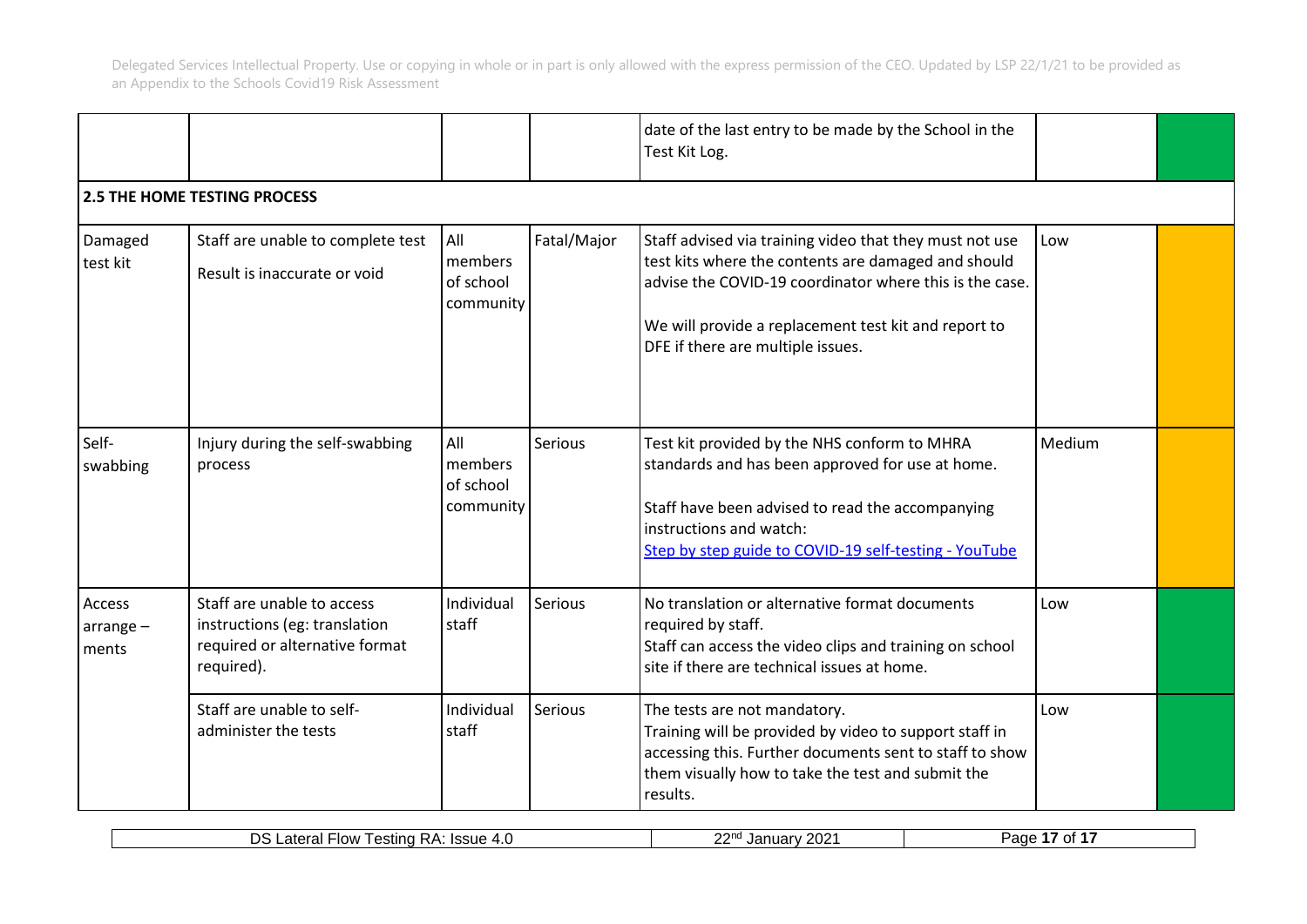|                                |                                                                                                             |                                          |             | date of the last entry to be made by the School in the<br>Test Kit Log.                                                                                                                                                                                                |        |  |
|--------------------------------|-------------------------------------------------------------------------------------------------------------|------------------------------------------|-------------|------------------------------------------------------------------------------------------------------------------------------------------------------------------------------------------------------------------------------------------------------------------------|--------|--|
|                                | <b>2.5 THE HOME TESTING PROCESS</b>                                                                         |                                          |             |                                                                                                                                                                                                                                                                        |        |  |
| Damaged<br>test kit            | Staff are unable to complete test<br>Result is inaccurate or void                                           | All<br>members<br>of school<br>community | Fatal/Major | Staff advised via training video that they must not use<br>test kits where the contents are damaged and should<br>advise the COVID-19 coordinator where this is the case.<br>We will provide a replacement test kit and report to<br>DFE if there are multiple issues. | Low    |  |
| Self-<br>swabbing              | Injury during the self-swabbing<br>process                                                                  | All<br>members<br>of school<br>community | Serious     | Test kit provided by the NHS conform to MHRA<br>standards and has been approved for use at home.<br>Staff have been advised to read the accompanying<br>instructions and watch:<br>Step by step guide to COVID-19 self-testing - YouTube                               | Medium |  |
| Access<br>$arrange -$<br>ments | Staff are unable to access<br>instructions (eg: translation<br>required or alternative format<br>required). | Individual<br>staff                      | Serious     | No translation or alternative format documents<br>required by staff.<br>Staff can access the video clips and training on school<br>site if there are technical issues at home.                                                                                         | Low    |  |
|                                | Staff are unable to self-<br>administer the tests                                                           | Individual<br>staff                      | Serious     | The tests are not mandatory.<br>Training will be provided by video to support staff in<br>accessing this. Further documents sent to staff to show<br>them visually how to take the test and submit the<br>results.                                                     | Low    |  |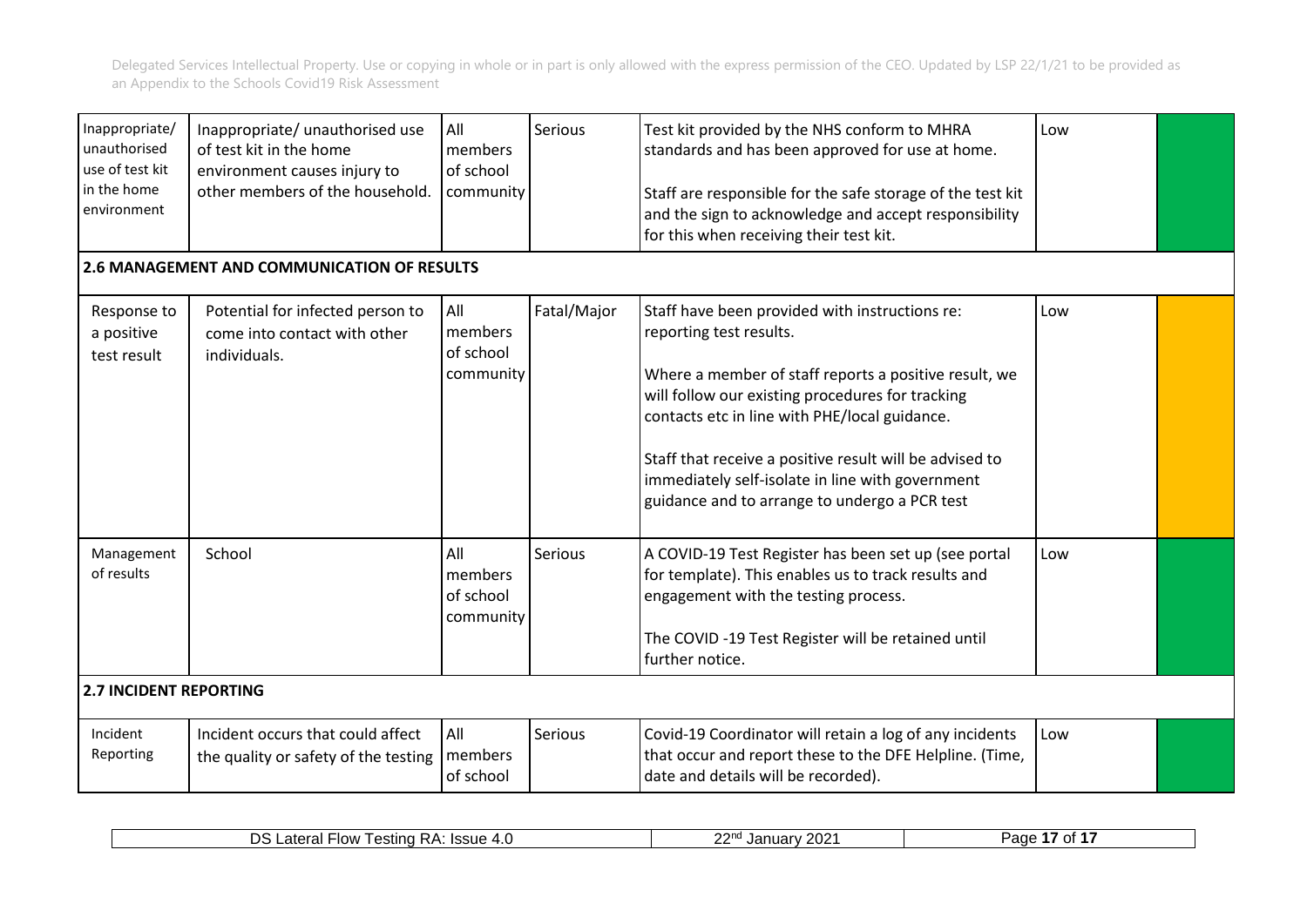| Inappropriate/<br>unauthorised<br>use of test kit<br>in the home<br>environment | Inappropriate/ unauthorised use<br>of test kit in the home<br>environment causes injury to<br>other members of the household. | All<br>members<br>of school<br>community | Serious     | Test kit provided by the NHS conform to MHRA<br>standards and has been approved for use at home.<br>Staff are responsible for the safe storage of the test kit<br>and the sign to acknowledge and accept responsibility<br>for this when receiving their test kit.                                                                                                                                      | Low |  |
|---------------------------------------------------------------------------------|-------------------------------------------------------------------------------------------------------------------------------|------------------------------------------|-------------|---------------------------------------------------------------------------------------------------------------------------------------------------------------------------------------------------------------------------------------------------------------------------------------------------------------------------------------------------------------------------------------------------------|-----|--|
|                                                                                 | 2.6 MANAGEMENT AND COMMUNICATION OF RESULTS                                                                                   |                                          |             |                                                                                                                                                                                                                                                                                                                                                                                                         |     |  |
| Response to<br>a positive<br>test result                                        | Potential for infected person to<br>come into contact with other<br>individuals.                                              | All<br>members<br>of school<br>community | Fatal/Major | Staff have been provided with instructions re:<br>reporting test results.<br>Where a member of staff reports a positive result, we<br>will follow our existing procedures for tracking<br>contacts etc in line with PHE/local guidance.<br>Staff that receive a positive result will be advised to<br>immediately self-isolate in line with government<br>guidance and to arrange to undergo a PCR test | Low |  |
| Management<br>of results<br><b>2.7 INCIDENT REPORTING</b>                       | School                                                                                                                        | All<br>members<br>of school<br>community | Serious     | A COVID-19 Test Register has been set up (see portal<br>for template). This enables us to track results and<br>engagement with the testing process.<br>The COVID -19 Test Register will be retained until<br>further notice.                                                                                                                                                                            | Low |  |
|                                                                                 |                                                                                                                               |                                          |             |                                                                                                                                                                                                                                                                                                                                                                                                         |     |  |
| Incident<br>Reporting                                                           | Incident occurs that could affect<br>the quality or safety of the testing                                                     | All<br>members<br>of school              | Serious     | Covid-19 Coordinator will retain a log of any incidents<br>that occur and report these to the DFE Helpline. (Time,<br>date and details will be recorded).                                                                                                                                                                                                                                               | Low |  |

| ~~~<br>2021<br>אר<br>. .<br><b>Flow</b><br>۱۵۵۱۱۵<br>$5 + 0.55$<br>I estina<br>. <i>.</i> .<br>$\sim$<br>101<br>--<br>77 I IV<br>атеган<br>$\cdot$ $\sim$<br>Jd<br>шaг<br>au<br>$\mathbf{R}$<br>1554 <del>0</del><br>טטי.<br>. U<br>ັ<br>___ |
|----------------------------------------------------------------------------------------------------------------------------------------------------------------------------------------------------------------------------------------------|
|----------------------------------------------------------------------------------------------------------------------------------------------------------------------------------------------------------------------------------------------|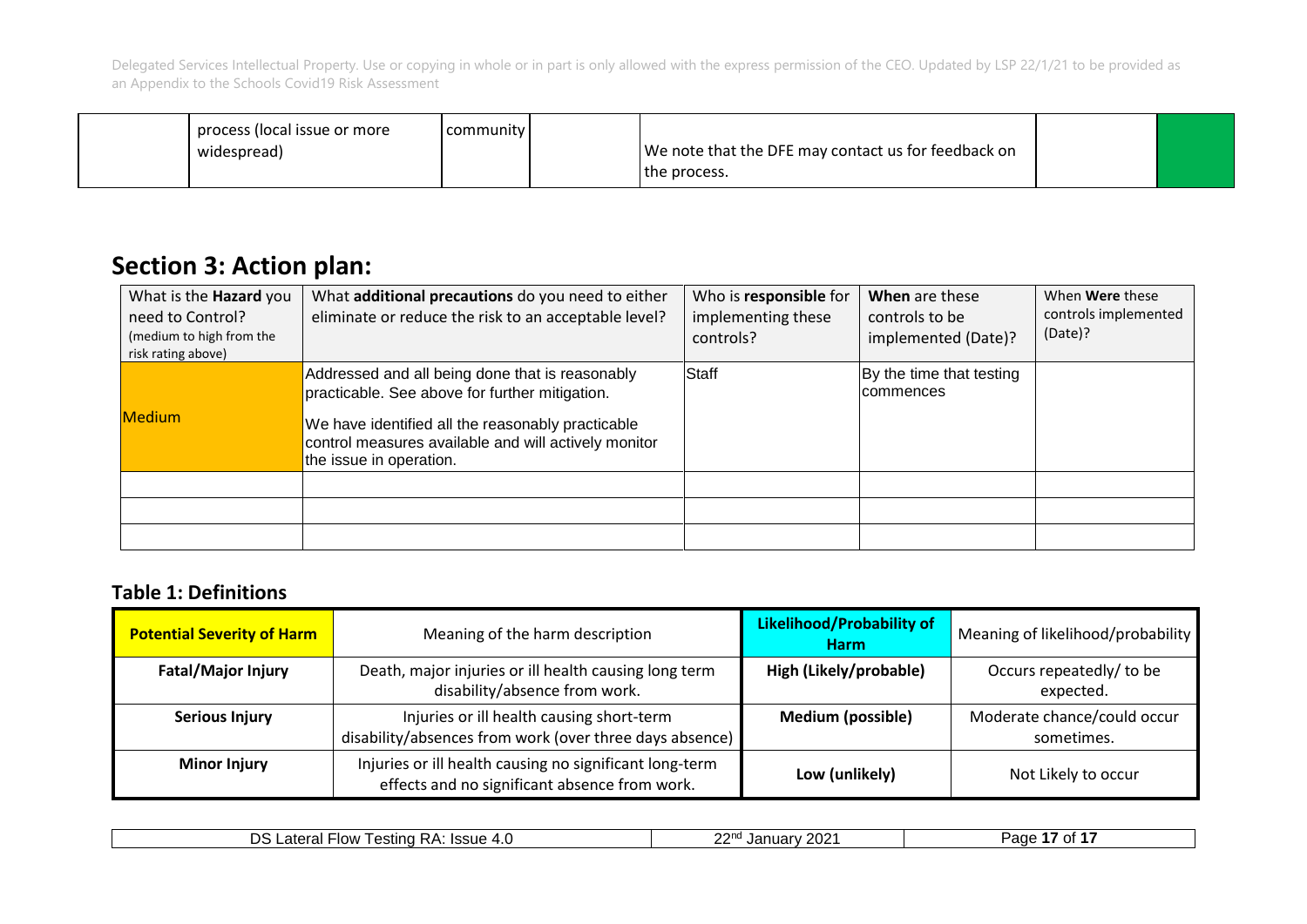| process (local issue or more | community |                                                     |  |
|------------------------------|-----------|-----------------------------------------------------|--|
| widespread)                  |           | We note that the DFE may contact us for feedback on |  |
|                              |           | the process.                                        |  |

## **Section 3: Action plan:**

| What is the <b>Hazard</b> you<br>need to Control?<br>(medium to high from the<br>risk rating above) | What additional precautions do you need to either<br>eliminate or reduce the risk to an acceptable level?                                                                                                                                 | Who is responsible for<br>implementing these<br>controls? | When are these<br>controls to be<br>implemented (Date)? | When <b>Were</b> these<br>controls implemented<br>(Date)? |
|-----------------------------------------------------------------------------------------------------|-------------------------------------------------------------------------------------------------------------------------------------------------------------------------------------------------------------------------------------------|-----------------------------------------------------------|---------------------------------------------------------|-----------------------------------------------------------|
| <b>Medium</b>                                                                                       | Addressed and all being done that is reasonably<br>practicable. See above for further mitigation.<br>We have identified all the reasonably practicable<br>control measures available and will actively monitor<br>the issue in operation. | Staff                                                     | By the time that testing<br>Icommences                  |                                                           |
|                                                                                                     |                                                                                                                                                                                                                                           |                                                           |                                                         |                                                           |
|                                                                                                     |                                                                                                                                                                                                                                           |                                                           |                                                         |                                                           |
|                                                                                                     |                                                                                                                                                                                                                                           |                                                           |                                                         |                                                           |

### **Table 1: Definitions**

| <b>Potential Severity of Harm</b> | Meaning of the harm description                                                                          | <b>Likelihood/Probability of</b><br><b>Harm</b> | Meaning of likelihood/probability         |
|-----------------------------------|----------------------------------------------------------------------------------------------------------|-------------------------------------------------|-------------------------------------------|
| <b>Fatal/Major Injury</b>         | Death, major injuries or ill health causing long term<br>disability/absence from work.                   | High (Likely/probable)                          | Occurs repeatedly/ to be<br>expected.     |
| <b>Serious Injury</b>             | Injuries or ill health causing short-term<br>disability/absences from work (over three days absence)     | <b>Medium (possible)</b>                        | Moderate chance/could occur<br>sometimes. |
| <b>Minor Injury</b>               | Injuries or ill health causing no significant long-term<br>effects and no significant absence from work. | Low (unlikely)                                  | Not Likely to occur                       |

| つつかい<br>$\sim$<br>. .<br>◝<br><b>Flow</b><br>C <sub>0</sub><br>otoro<br>ימה נ<br>l estina<br>$\sim$ . $\sim$ .<br>Jar<br>.<br>י ב <i>ו</i> ←<br>OT<br>' ∠U∠ ∶<br>∴dlt⊶<br>auc :<br>на.<br>$.13305 -$<br>IN.<br>T.V<br>--- |  |
|---------------------------------------------------------------------------------------------------------------------------------------------------------------------------------------------------------------------------|--|
|---------------------------------------------------------------------------------------------------------------------------------------------------------------------------------------------------------------------------|--|